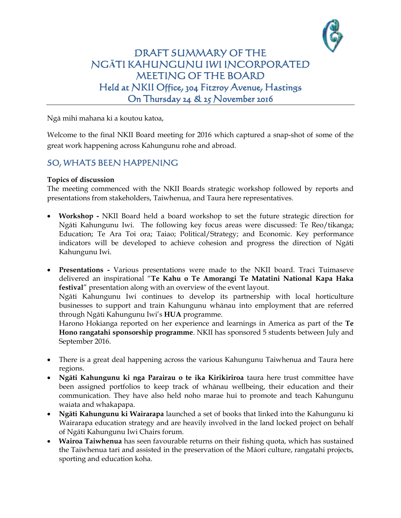

## DRAFT SUMMARY OF THE NG**Ā**TI KAHUNGUNU IWI INCORPORATED MEETING OF THE BOARD Held at NKII Office, 304 Fitzroy Avenue, Hastings On Thursday 24 & 25 November 2016

Ngā mihi mahana ki a koutou katoa,

Welcome to the final NKII Board meeting for 2016 which captured a snap-shot of some of the great work happening across Kahungunu rohe and abroad.

## SO, WHATS BEEN HAPPENING

## **Topics of discussion**

The meeting commenced with the NKII Boards strategic workshop followed by reports and presentations from stakeholders, Taiwhenua, and Taura here representatives.

- **Workshop -** NKII Board held a board workshop to set the future strategic direction for Ngāti Kahungunu Iwi. The following key focus areas were discussed: Te Reo/tikanga; Education; Te Ara Toi ora; Taiao; Political/Strategy; and Economic. Key performance indicators will be developed to achieve cohesion and progress the direction of Ngāti Kahungunu Iwi.
- **Presentations -** Various presentations were made to the NKII board. Traci Tuimaseve delivered an inspirational "**Te Kahu o Te Amorangi Te Matatini National Kapa Haka festival**" presentation along with an overview of the event layout.

Ngāti Kahungunu Iwi continues to develop its partnership with local horticulture businesses to support and train Kahungunu whānau into employment that are referred through Ngāti Kahungunu Iwi's **HUA** programme.

Harono Hokianga reported on her experience and learnings in America as part of the **Te Hono rangatahi sponsorship programme**. NKII has sponsored 5 students between July and September 2016.

- There is a great deal happening across the various Kahungunu Taiwhenua and Taura here regions.
- **Ngāti Kahungunu ki nga Parairau o te ika Kirikiriroa** taura here trust committee have been assigned portfolios to keep track of whānau wellbeing, their education and their communication. They have also held noho marae hui to promote and teach Kahungunu waiata and whakapapa.
- **Ngāti Kahungunu ki Wairarapa** launched a set of books that linked into the Kahungunu ki Wairarapa education strategy and are heavily involved in the land locked project on behalf of Ngāti Kahungunu Iwi Chairs forum.
- **Wairoa Taiwhenua** has seen favourable returns on their fishing quota, which has sustained the Taiwhenua tari and assisted in the preservation of the Māori culture, rangatahi projects, sporting and education koha.